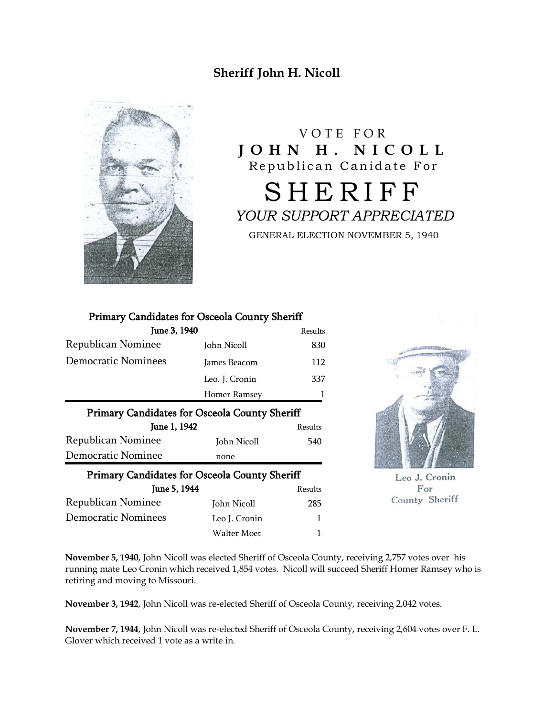## **Sheriff John H. Nicoll**



V O T E F O R **J O H N H . N I C O L L** Republican Canidate For **SHERIFF** *YOUR SUPPORT APPRECIATED* GENERAL ELECTION NOVEMBER 5, 1940

## Primary Candidates for Osceola County Sheriff

| June 3, 1940                                         |                | Results |
|------------------------------------------------------|----------------|---------|
| Republican Nominee                                   | John Nicoll    | 830     |
| <b>Democratic Nominees</b>                           | James Beacom   | 112     |
|                                                      | Leo. J. Cronin | 337     |
|                                                      | Homer Ramsey   | J.      |
| Primary Candidates for Osceola County Sheriff        |                |         |
| June 1, 1942                                         |                | Results |
| Republican Nominee                                   | John Nicoll    | 540     |
| Democratic Nominee                                   | none           |         |
| <b>Primary Candidates for Osceola County Sheriff</b> |                |         |
| June 5, 1944                                         |                | Results |
| Republican Nominee                                   | John Nicoll    | 285     |
| <b>Democratic Nominees</b>                           | Leo J. Cronin  |         |



Leo J. Cronin For County Sheriff

**November 5, 1940**, John Nicoll was elected Sheriff of Osceola County, receiving 2,757 votes over his running mate Leo Cronin which received 1,854 votes. Nicoll will succeed Sheriff Homer Ramsey who is retiring and moving to Missouri.

Walter Moet 1

**November 3, 1942**, John Nicoll was re-elected Sheriff of Osceola County, receiving 2,042 votes.

**November 7, 1944**, John Nicoll was re-elected Sheriff of Osceola County, receiving 2,604 votes over F. L. Glover which received 1 vote as a write in.